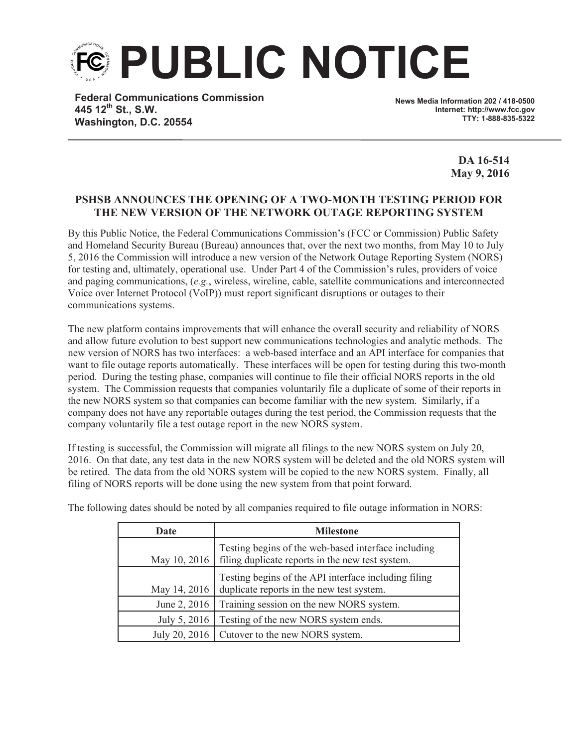**PUBLIC NOTICE**

**Federal Communications Commission 445 12th St., S.W. Washington, D.C. 20554**

**News Media Information 202 / 418-0500 Internet: http://www.fcc.gov TTY: 1-888-835-5322**

> **DA 16-514 May 9, 2016**

## **PSHSB ANNOUNCES THE OPENING OF A TWO-MONTH TESTING PERIOD FOR THE NEW VERSION OF THE NETWORK OUTAGE REPORTING SYSTEM**

By this Public Notice, the Federal Communications Commission's (FCC or Commission) Public Safety and Homeland Security Bureau (Bureau) announces that, over the next two months, from May 10 to July 5, 2016 the Commission will introduce a new version of the Network Outage Reporting System (NORS) for testing and, ultimately, operational use. Under Part 4 of the Commission's rules, providers of voice and paging communications, (*e.g.*, wireless, wireline, cable, satellite communications and interconnected Voice over Internet Protocol (VoIP)) must report significant disruptions or outages to their communications systems.

The new platform contains improvements that will enhance the overall security and reliability of NORS and allow future evolution to best support new communications technologies and analytic methods. The new version of NORS has two interfaces: a web-based interface and an API interface for companies that want to file outage reports automatically. These interfaces will be open for testing during this two-month period. During the testing phase, companies will continue to file their official NORS reports in the old system. The Commission requests that companies voluntarily file a duplicate of some of their reports in the new NORS system so that companies can become familiar with the new system. Similarly, if a company does not have any reportable outages during the test period, the Commission requests that the company voluntarily file a test outage report in the new NORS system.

If testing is successful, the Commission will migrate all filings to the new NORS system on July 20, 2016. On that date, any test data in the new NORS system will be deleted and the old NORS system will be retired. The data from the old NORS system will be copied to the new NORS system. Finally, all filing of NORS reports will be done using the new system from that point forward.

| Date          | <b>Milestone</b>                                                                                        |
|---------------|---------------------------------------------------------------------------------------------------------|
| May 10, 2016  | Testing begins of the web-based interface including<br>filing duplicate reports in the new test system. |
| May 14, 2016  | Testing begins of the API interface including filing<br>duplicate reports in the new test system.       |
| June 2, 2016  | Training session on the new NORS system.                                                                |
| July 5, 2016  | Testing of the new NORS system ends.                                                                    |
| July 20, 2016 | Cutover to the new NORS system.                                                                         |

The following dates should be noted by all companies required to file outage information in NORS: